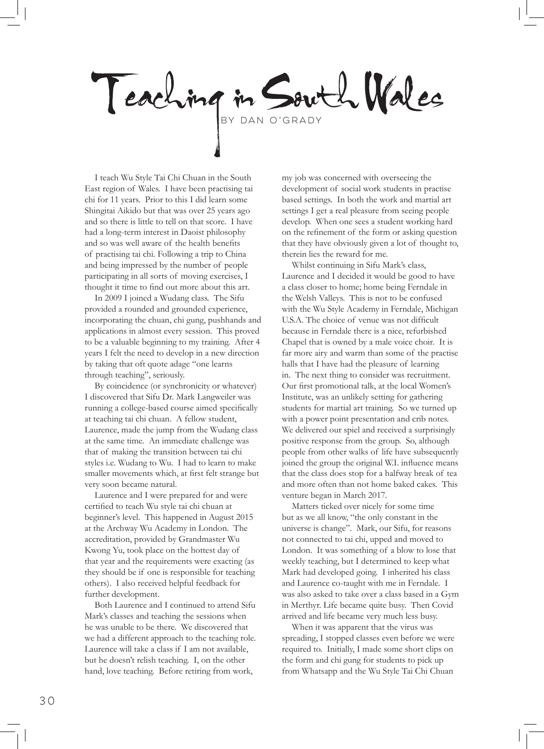Teaching in South Wales

I teach Wu Style Tai Chi Chuan in the South East region of Wales. I have been practising tai chi for 11 years. Prior to this I did learn some Shingitai Aikido but that was over 25 years ago and so there is little to tell on that score. I have had a long-term interest in Daoist philosophy and so was well aware of the health benefits of practising tai chi. Following a trip to China and being impressed by the number of people participating in all sorts of moving exercises, I thought it time to find out more about this art.

In 2009 I joined a Wudang class. The Sifu provided a rounded and grounded experience, incorporating the chuan, chi gung, pushhands and applications in almost every session. This proved to be a valuable beginning to my training. After 4 years I felt the need to develop in a new direction by taking that oft quote adage "one learns through teaching", seriously.

By coincidence (or synchronicity or whatever) I discovered that Sifu Dr. Mark Langweiler was running a college-based course aimed specifically at teaching tai chi chuan. A fellow student, Laurence, made the jump from the Wudang class at the same time. An immediate challenge was that of making the transition between tai chi styles i.e. Wudang to Wu. I had to learn to make smaller movements which, at first felt strange but very soon became natural.

Laurence and I were prepared for and were certified to teach Wu style tai chi chuan at beginner's level. This happened in August 2015 at the Archway Wu Academy in London. The accreditation, provided by Grandmaster Wu Kwong Yu, took place on the hottest day of that year and the requirements were exacting (as they should be if one is responsible for teaching others). I also received helpful feedback for further development.

Both Laurence and I continued to attend Sifu Mark's classes and teaching the sessions when he was unable to be there. We discovered that we had a different approach to the teaching role. Laurence will take a class if I am not available, but he doesn't relish teaching. I, on the other hand, love teaching. Before retiring from work,

my job was concerned with overseeing the development of social work students in practise based settings. In both the work and martial art settings I get a real pleasure from seeing people develop. When one sees a student working hard on the refinement of the form or asking question that they have obviously given a lot of thought to, therein lies the reward for me.

Whilst continuing in Sifu Mark's class, Laurence and I decided it would be good to have a class closer to home; home being Ferndale in the Welsh Valleys. This is not to be confused with the Wu Style Academy in Ferndale, Michigan U.S.A. The choice of venue was not difficult because in Ferndale there is a nice, refurbished Chapel that is owned by a male voice choir. It is far more airy and warm than some of the practise halls that I have had the pleasure of learning in. The next thing to consider was recruitment. Our first promotional talk, at the local Women's Institute, was an unlikely setting for gathering students for martial art training. So we turned up with a power point presentation and crib notes. We delivered our spiel and received a surprisingly positive response from the group. So, although people from other walks of life have subsequently joined the group the original W.I. influence means that the class does stop for a halfway break of tea and more often than not home baked cakes. This venture began in March 2017.

Matters ticked over nicely for some time but as we all know, "the only constant in the universe is change". Mark, our Sifu, for reasons not connected to tai chi, upped and moved to London. It was something of a blow to lose that weekly teaching, but I determined to keep what Mark had developed going. I inherited his class and Laurence co-taught with me in Ferndale. I was also asked to take over a class based in a Gym in Merthyr. Life became quite busy. Then Covid arrived and life became very much less busy.

When it was apparent that the virus was spreading, I stopped classes even before we were required to. Initially, I made some short clips on the form and chi gung for students to pick up from Whatsapp and the Wu Style Tai Chi Chuan